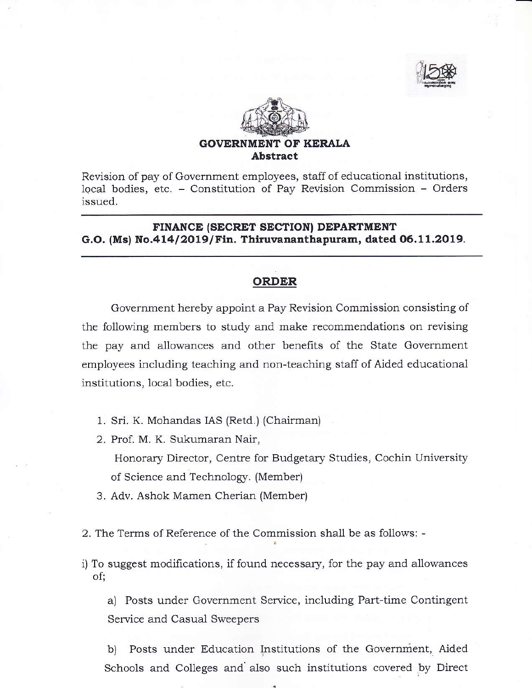



Revision of pay of Government employees, staff of educational institutions, local bodies, etc. - Constitution of Pay Revision Commission - Orders issued.

FINANCE (SECRET SECTION) DEPARTMENT G.O. (Ms) No.414/2019/Fin. Thiruvananthapuram, dated 06.11.2019.

## ORDER

Governrnent hereby appoint a Pay Revision Commission consisting of the following members to study and make recommendations on revising the pay and allowances and other benefits of the State Government employees including teaching and non-teaching staff of Aided educational institutions, local bodies, etc.

1. Sri. K. Mohandas IAS (Retd.) (Chairman)

2. Prof. M. K. Sukumaran Nair, Honorary Director, Cente for Budgetary Studies, Cochin University of Science and Technology. (Member).

3. Adv. Ashok Mamen Cherian (Member)

2. The Terms of Reference of the Commission shall be as follows: -

i) To suggest modifications, if found necessary, for the pay and allowances of;

a) Posts under Government Service, including Part-time Contingent Service and Casual Sweepers

b) Posts under Education Institutions of the Government, Aided Schools and Colleges and also such institutions covered by Direct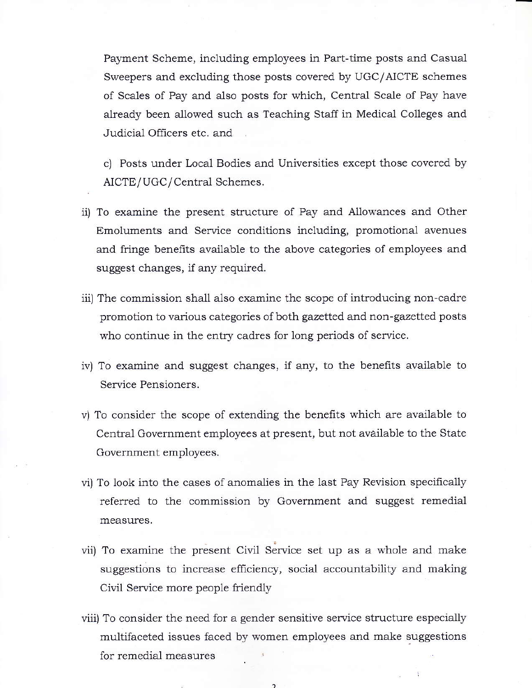Payment Scheme, including employees in Part-time posts and Casual Sweepers and excluding those posts covered by UGC/AICTE schemes of Scales of Pay and also posts for which, Central Scale of Pay have already been allowed such as Teaching Staff in Medical Colleges and Judicial Officers etc. and

c) Posts under Local Bodies and Universities except those covered by AICTE/UGC/Central Schemes.

- ii) To examine the present structure of Pay and Allowances and Other Emoluments and Service conditions including, promotional avenues and fringe benefits available to the above categories of employees and suggest changes, if any required.
- iii) The commission shall also examine the scope of introducing non-cadre promotion to various categories of both gazetted and non-gazetted posts who continue in the entry cadres for long periods of service.
- iv) To examine and suggest changes, if any, to the benefits available to Service Pensioners.
- v) To consider the scope of extending the benefits which are available to Central Government employees at present, but not available to the State Governrnent employees.
- vi) To look into the cases of anomalies in the last Pay Revision speciically refered to the commission by Government and suggest remedial measures.
- vii) To examine the present Civil Service set up as a whole and make suggestions to increase efficiency, social accountability and making Civil Service more people friendly
- viii) To consider the need for a gender sensitive service structure especially multifaceted issues faced by women employees and make suggestions for remedial measures

 $\overline{ }$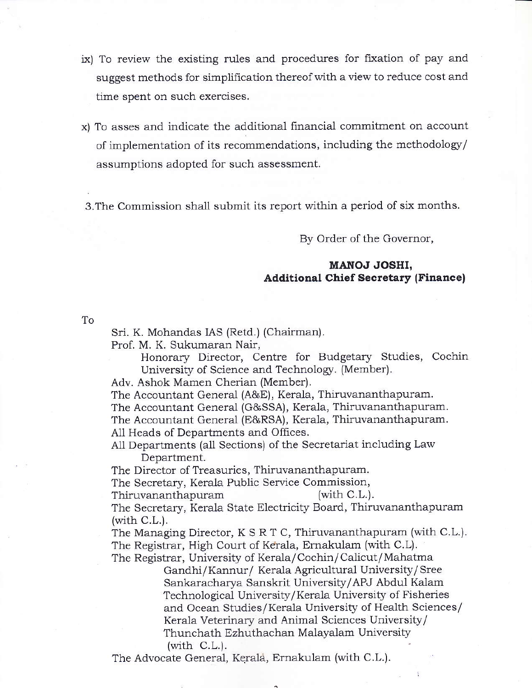- ix) To review the existing rules and procedures for fixation of pay and suggest methods for simplification thereof with a view to reduce cost and time spent on such exercises.
- x) To asses and indicate the additional financial commitment on account of implementation of its recommendations, including the methodology/ assumptions adopted for such assessment.

3.The Commission sha1l submit its report within a period of six months.

By Order of the Governor,

## MANOJ JOSHI, **Additional Chief Secretary (Finance)**

To

Sri. K. Mohandas IAS (Retd.) (Chairman).

Prof. M. K. Sukumaraa Nair,

Honorary Director, Centre for Budgetary Studies, Cochin University of Science and Technology. (Member).

Adv. Ashok Mamen Cherian (Member).

The Accountant General (A&E), Kerala, Thiruvananthapuram.

The Accountant General (G&SSA), Kerala, Thiruvananthapuram.

The Accountant General (E&RSA), Kerala, Thiruvananthapuram. All Heads of Departments and Offices.

A11 Departments (a11 Sections) of the Secretariat including Law Department.

The Director of Treasuries, Thiruvananthapuram.

The Secretary, Kerala Public Service Commission,<br>Thiruvananthapuram (with C.L.).

Thiruvananthapuram

The Secretary, Kerala State Electricity Board, Thiruvananthapuram  $(with C.L.).$ 

The Managing Director,  $K S R T C$ , Thiruvananthapuram (with C.L.). The Registrar, High Court of Kerala, Ernakulam (with C.L).

The Registrar, University of Kerala/Cochin/ Caiicut/ Mahatma Gandhi/Kannur/ Kerala Agricultural University/Sree Sankaracharya Sanskrit University/APJ Abdul Kalam Technological University/ Kerala University of Fisheries and Ocean Studies/Kerala University of Health Sciences/ Kerala Veterinary and Animal Sciences University/ Thunchath Ezhuthachan Malayalam University (with  $C.L.$ ).

The Advocate General, Kerala, Ernakulam (with C.L.).